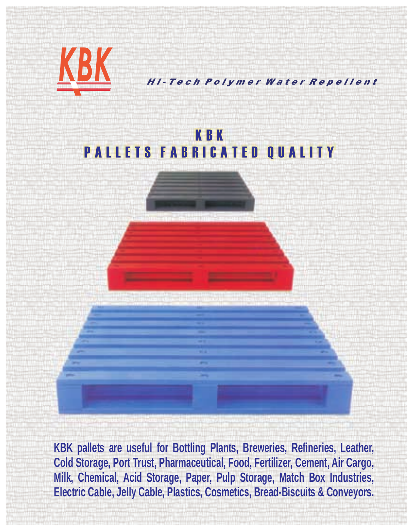

**Milk, Chemical, Acid Storage, Paper, Pulp Storage, Match Box Industries, Electric Cable, Jelly Cable, Plastics, Cosmetics, Bread-Biscuits & Conveyors.**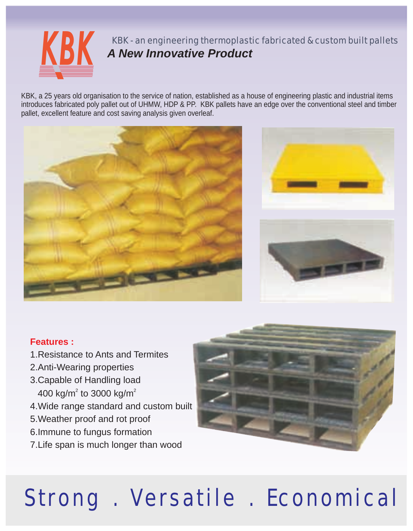

KBK - an engineering thermoplastic fabricated & custom built pallets *A New Innovative Product*

KBK, a 25 years old organisation to the service of nation, established as a house of engineering plastic and industrial items introduces fabricated poly pallet out of UHMW, HDP & PP. KBK pallets have an edge over the conventional steel and timber pallet, excellent feature and cost saving analysis given overleaf.





## **Features :**

- 1.Resistance to Ants and Termites
- 2.Anti-Wearing properties
- 3.Capable of Handling load 400 kg/m<sup>2</sup> to 3000 kg/m<sup>2</sup>
- 4.Wide range standard and custom built
- 5.Weather proof and rot proof
- 6.Immune to fungus formation
- 7.Life span is much longer than wood

# Strong . Versatile . Economical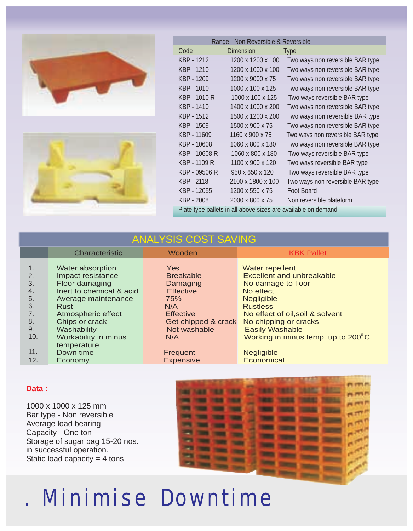



| Range - Non Reversible & Reversible                           |                   |                                  |  |
|---------------------------------------------------------------|-------------------|----------------------------------|--|
| Code                                                          | Dimension         | <b>Type</b>                      |  |
| KBP - 1212                                                    | 1200 x 1200 x 100 | Two ways non reversible BAR type |  |
| KBP - 1210                                                    | 1200 x 1000 x 100 | Two ways non reversible BAR type |  |
| KBP - 1209                                                    | 1200 x 9000 x 75  | Two ways non reversible BAR type |  |
| KBP - 1010                                                    | 1000 x 100 x 125  | Two ways non reversible BAR type |  |
| KBP - 1010 R                                                  | 1000 x 100 x 125  | Two ways reversible BAR type     |  |
| KBP - 1410                                                    | 1400 x 1000 x 200 | Two ways non reversible BAR type |  |
| KBP - 1512                                                    | 1500 x 1200 x 200 | Two ways non reversible BAR type |  |
| KBP - 1509                                                    | 1500 x 900 x 75   | Two ways non reversible BAR type |  |
| KBP - 11609                                                   | 1160 x 900 x 75   | Two ways non reversible BAR type |  |
| KBP - 10608                                                   | 1060 x 800 x 180  | Two ways non reversible BAR type |  |
| KBP - 10608 R                                                 | 1060 x 800 x 180  | Two ways reversible BAR type     |  |
| KBP - 1109 R                                                  | 1100 x 900 x 120  | Two ways reversible BAR type     |  |
| KBP - 09506 R                                                 | 950 x 650 x 120   | Two ways reversible BAR type     |  |
| KBP - 2118                                                    | 2100 x 1800 x 100 | Two ways non reversible BAR type |  |
| KBP - 12055                                                   | 1200 x 550 x 75   | Foot Board                       |  |
| KBP - 2008                                                    | 2000 x 800 x 75   | Non reversible plateform         |  |
| Plate type pallets in all above sizes are available on demand |                   |                                  |  |

# ANALYSIS COST SAVING

|                                                           | Characteristic                                                                                                                                                                                                   | Wooden                                                                                                                                         | <b>KBK Pallet</b>                                                                                                                                                                                                                                                     |
|-----------------------------------------------------------|------------------------------------------------------------------------------------------------------------------------------------------------------------------------------------------------------------------|------------------------------------------------------------------------------------------------------------------------------------------------|-----------------------------------------------------------------------------------------------------------------------------------------------------------------------------------------------------------------------------------------------------------------------|
| 1.<br>2.<br>3.<br>4.<br>5.<br>6.<br>7.<br>8.<br>9.<br>10. | Water absorption<br>Impact resistance<br>Floor damaging<br>Inert to chemical & acid<br>Average maintenance<br>Rust<br>Atmospheric effect<br>Chips or crack<br>Washability<br>Workability in minus<br>temperature | <b>Yes</b><br><b>Breakable</b><br>Damaging<br><b>Effective</b><br>75%<br>N/A<br><b>Effective</b><br>Get chipped & crack<br>Not washable<br>N/A | Water repellent<br><b>Excellent and unbreakable</b><br>No damage to floor<br>No effect<br><b>Negligible</b><br><b>Rustless</b><br>No effect of oil, soil & solvent<br>No chipping or cracks<br><b>Easily Washable</b><br>Working in minus temp. up to $200^{\circ}$ C |
| 11.<br>12.                                                | Down time<br>Economy                                                                                                                                                                                             | Frequent<br><b>Expensive</b>                                                                                                                   | <b>Negligible</b><br>Economical                                                                                                                                                                                                                                       |

### **Data :**

1000 x 1000 x 125 mm Bar type - Non reversible Average load bearing Capacity - One ton Storage of sugar bag 15-20 nos. in successful operation. Static load capacity  $= 4$  tons



# . Minimise Downtime